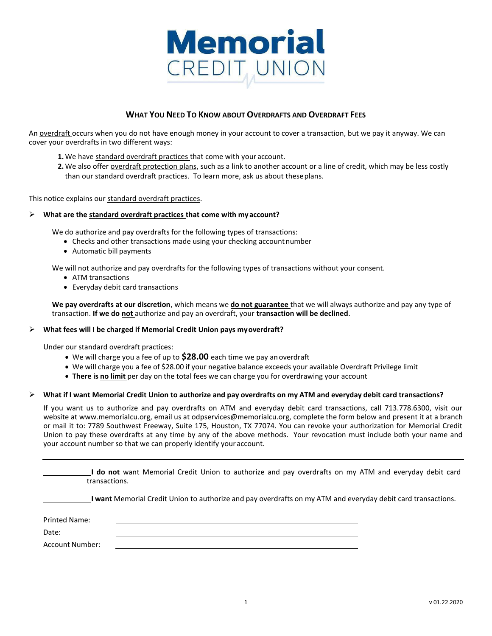

# **WHAT YOU NEED TO KNOW ABOUT OVERDRAFTS AND OVERDRAFT FEES**

An overdraft occurs when you do not have enough money in your account to cover a transaction, but we pay it anyway. We can cover your overdrafts in two different ways:

- **1.** We have standard overdraft practices that come with your account.
- **2.** We also offer overdraft protection plans, such as a link to another account or a line of credit, which may be less costly than our standard overdraft practices. To learn more, ask us about theseplans.

This notice explains our standard overdraft practices.

### **What are the standard overdraft practices that come with myaccount?**

We do authorize and pay overdrafts for the following types of transactions:

- Checks and other transactions made using your checking account number
- Automatic bill payments

We will not authorize and pay overdrafts for the following types of transactions without your consent.

- ATM transactions
- Everyday debit card transactions

**We pay overdrafts at our discretion**, which means we **do not guarantee** that we will always authorize and pay any type of transaction. **If we do not** authorize and pay an overdraft, your **transaction will be declined**.

### **What fees will I be charged if Memorial Credit Union pays myoverdraft?**

Under our standard overdraft practices:

- We will charge you a fee of up to **\$28.00** each time we pay anoverdraft
- We will charge you a fee of \$28.00 if your negative balance exceeds your available Overdraft Privilege limit
- **There is no limit** per day on the total fees we can charge you for overdrawing your account

### $\triangleright$  What if I want Memorial Credit Union to authorize and pay overdrafts on my ATM and everyday debit card transactions?

If you want us to authorize and pay overdrafts on ATM and everyday debit card transactions, call 713.778.6300, visit our website a[t www.memorialcu.org,](http://www.memorialcu.org/) email us a[t odpservices@memorialcu.org,](mailto:odpservices@memorialcu.org) complete the form below and present it at a branch or mail it to: 7789 Southwest Freeway, Suite 175, Houston, TX 77074. You can revoke your authorization for Memorial Credit Union to pay these overdrafts at any time by any of the above methods. Your revocation must include both your name and your account number so that we can properly identify youraccount.

**I do not** want Memorial Credit Union to authorize and pay overdrafts on my ATM and everyday debit card transactions.

**I want** Memorial Credit Union to authorize and pay overdrafts on my ATM and everyday debit card transactions.

Printed Name: Date: Account Number: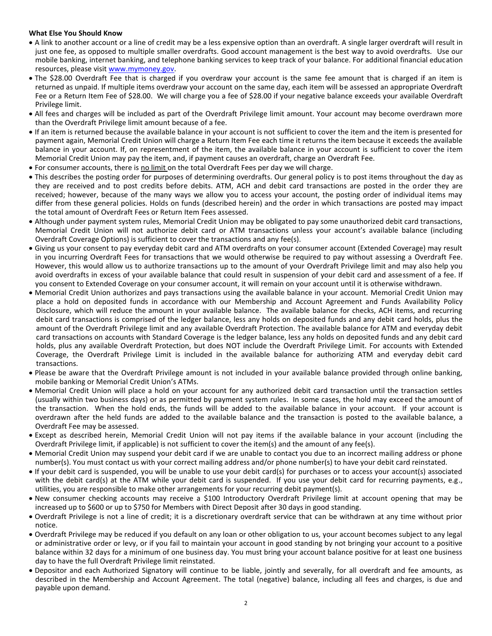## **What Else You Should Know**

- A link to another account or a line of credit may be a less expensive option than an overdraft. A single larger overdraft will result in just one fee, as opposed to multiple smaller overdrafts. Good account management is the best way to avoid overdrafts. Use our mobile banking, internet banking, and telephone banking services to keep track of your balance. For additional financial education resources, please visit [www.mymoney.gov.](http://www.mymoney.gov/)
- The \$28.00 Overdraft Fee that is charged if you overdraw your account is the same fee amount that is charged if an item is returned as unpaid. If multiple items overdraw your account on the same day, each item will be assessed an appropriate Overdraft Fee or a Return Item Fee of \$28.00. We will charge you a fee of \$28.00 if your negative balance exceeds your available Overdraft Privilege limit.
- All fees and charges will be included as part of the Overdraft Privilege limit amount. Your account may become overdrawn more than the Overdraft Privilege limit amount because of a fee.
- If an item is returned because the available balance in your account is not sufficient to cover the item and the item is presented for payment again, Memorial Credit Union will charge a Return Item Fee each time it returns the item because it exceeds the available balance in your account. If, on representment of the item, the available balance in your account is sufficient to cover the item Memorial Credit Union may pay the item, and, if payment causes an overdraft, charge an Overdraft Fee.
- For consumer accounts, there is no limit on the total Overdraft Fees per day we will charge.
- This describes the posting order for purposes of determining overdrafts. Our general policy is to post items throughout the day as they are received and to post credits before debits. ATM, ACH and debit card transactions are posted in the order they are received; however, because of the many ways we allow you to access your account, the posting order of individual items may differ from these general policies. Holds on funds (described herein) and the order in which transactions are posted may impact the total amount of Overdraft Fees or Return Item Fees assessed.
- Although under payment system rules, Memorial Credit Union may be obligated to pay some unauthorized debit card transactions, Memorial Credit Union will not authorize debit card or ATM transactions unless your account's available balance (including Overdraft Coverage Options) is sufficient to cover the transactions and any fee(s).
- Giving us your consent to pay everyday debit card and ATM overdrafts on your consumer account (Extended Coverage) may result in you incurring Overdraft Fees for transactions that we would otherwise be required to pay without assessing a Overdraft Fee. However, this would allow us to authorize transactions up to the amount of your Overdraft Privilege limit and may also help you avoid overdrafts in excess of your available balance that could result in suspension of your debit card and assessment of a fee. If you consent to Extended Coverage on your consumer account, it will remain on your account until it is otherwise withdrawn.
- Memorial Credit Union authorizes and pays transactions using the available balance in your account. Memorial Credit Union may place a hold on deposited funds in accordance with our Membership and Account Agreement and Funds Availability Policy Disclosure, which will reduce the amount in your available balance. The available balance for checks, ACH items, and recurring debit card transactions is comprised of the ledger balance, less any holds on deposited funds and any debit card holds, plus the amount of the Overdraft Privilege limit and any available Overdraft Protection. The available balance for ATM and everyday debit card transactions on accounts with Standard Coverage is the ledger balance, less any holds on deposited funds and any debit card holds, plus any available Overdraft Protection, but does NOT include the Overdraft Privilege Limit. For accounts with Extended Coverage, the Overdraft Privilege Limit is included in the available balance for authorizing ATM and everyday debit card transactions.
- Please be aware that the Overdraft Privilege amount is not included in your available balance provided through online banking, mobile banking or Memorial Credit Union's ATMs.
- Memorial Credit Union will place a hold on your account for any authorized debit card transaction until the transaction settles (usually within two business days) or as permitted by payment system rules. In some cases, the hold may exceed the amount of the transaction. When the hold ends, the funds will be added to the available balance in your account. If your account is overdrawn after the held funds are added to the available balance and the transaction is posted to the available balance, a Overdraft Fee may be assessed.
- Except as described herein, Memorial Credit Union will not pay items if the available balance in your account (including the Overdraft Privilege limit, if applicable) is not sufficient to cover the item(s) and the amount of any fee(s).
- Memorial Credit Union may suspend your debit card if we are unable to contact you due to an incorrect mailing address or phone number(s). You must contact us with your correct mailing address and/or phone number(s) to have your debit card reinstated.
- If your debit card is suspended, you will be unable to use your debit card(s) for purchases or to access your account(s) associated with the debit card(s) at the ATM while your debit card is suspended. If you use your debit card for recurring payments, e.g., utilities, you are responsible to make other arrangements for your recurring debit payment(s).
- New consumer checking accounts may receive a \$100 Introductory Overdraft Privilege limit at account opening that may be increased up to \$600 or up to \$750 for Members with Direct Deposit after 30 days in good standing.
- Overdraft Privilege is not a line of credit; it is a discretionary overdraft service that can be withdrawn at any time without prior notice.
- Overdraft Privilege may be reduced if you default on any loan or other obligation to us, your account becomes subject to any legal or administrative order or levy, or if you fail to maintain your account in good standing by not bringing your account to a positive balance within 32 days for a minimum of one business day. You must bring your account balance positive for at least one business day to have the full Overdraft Privilege limit reinstated.
- Depositor and each Authorized Signatory will continue to be liable, jointly and severally, for all overdraft and fee amounts, as described in the Membership and Account Agreement. The total (negative) balance, including all fees and charges, is due and payable upon demand.